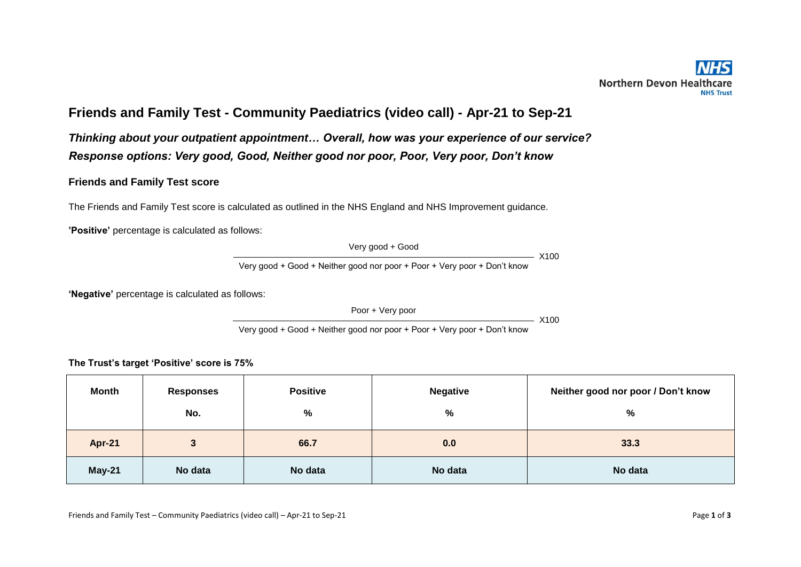## **Friends and Family Test - Community Paediatrics (video call) - Apr-21 to Sep-21**

*Thinking about your outpatient appointment… Overall, how was your experience of our service? Response options: Very good, Good, Neither good nor poor, Poor, Very poor, Don't know* 

## **Friends and Family Test score**

The Friends and Family Test score is calculated as outlined in the NHS England and NHS Improvement guidance.

**'Positive'** percentage is calculated as follows:

Very good + Good

 $-$  X100

Very good + Good + Neither good nor poor + Poor + Very poor + Don't know

**'Negative'** percentage is calculated as follows:

Poor + Very poor

 $- X100$ 

Very good + Good + Neither good nor poor + Poor + Very poor + Don't know

**The Trust's target 'Positive' score is 75%**

| Month         | <b>Responses</b> | <b>Positive</b> | <b>Negative</b> | Neither good nor poor / Don't know |  |
|---------------|------------------|-----------------|-----------------|------------------------------------|--|
|               | No.              | %               | %               | %                                  |  |
| <b>Apr-21</b> | 3                | 66.7            | 0.0             | 33.3                               |  |
| $May-21$      | No data          | No data         | No data         | No data                            |  |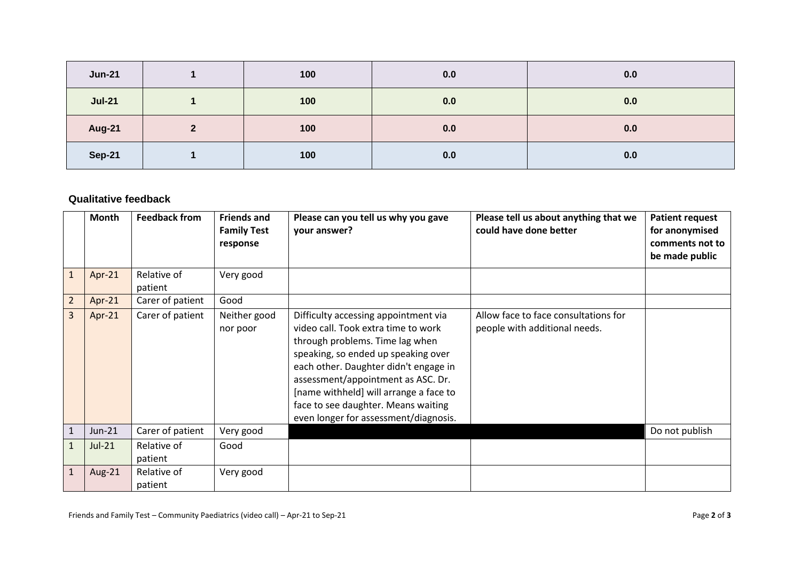| <b>Jun-21</b> | 100 | 0.0 | 0.0 |
|---------------|-----|-----|-----|
| <b>Jul-21</b> | 100 | 0.0 | 0.0 |
| <b>Aug-21</b> | 100 | 0.0 | 0.0 |
| <b>Sep-21</b> | 100 | 0.0 | 0.0 |

## **Qualitative feedback**

|                | Month     | <b>Feedback from</b>   | <b>Friends and</b><br><b>Family Test</b><br>response | Please can you tell us why you gave<br>your answer?                                                                                                                                                                                                                                                                                                            | Please tell us about anything that we<br>could have done better       | <b>Patient request</b><br>for anonymised<br>comments not to<br>be made public |
|----------------|-----------|------------------------|------------------------------------------------------|----------------------------------------------------------------------------------------------------------------------------------------------------------------------------------------------------------------------------------------------------------------------------------------------------------------------------------------------------------------|-----------------------------------------------------------------------|-------------------------------------------------------------------------------|
| $\mathbf{1}$   | Apr-21    | Relative of<br>patient | Very good                                            |                                                                                                                                                                                                                                                                                                                                                                |                                                                       |                                                                               |
| $\overline{2}$ | Apr- $21$ | Carer of patient       | Good                                                 |                                                                                                                                                                                                                                                                                                                                                                |                                                                       |                                                                               |
| $\overline{3}$ | $Apr-21$  | Carer of patient       | Neither good<br>nor poor                             | Difficulty accessing appointment via<br>video call. Took extra time to work<br>through problems. Time lag when<br>speaking, so ended up speaking over<br>each other. Daughter didn't engage in<br>assessment/appointment as ASC. Dr.<br>[name withheld] will arrange a face to<br>face to see daughter. Means waiting<br>even longer for assessment/diagnosis. | Allow face to face consultations for<br>people with additional needs. |                                                                               |
| $\mathbf{1}$   | $Jun-21$  | Carer of patient       | Very good                                            |                                                                                                                                                                                                                                                                                                                                                                |                                                                       | Do not publish                                                                |
| $\mathbf{1}$   | $Jul-21$  | Relative of<br>patient | Good                                                 |                                                                                                                                                                                                                                                                                                                                                                |                                                                       |                                                                               |
| $\mathbf{1}$   | Aug-21    | Relative of<br>patient | Very good                                            |                                                                                                                                                                                                                                                                                                                                                                |                                                                       |                                                                               |